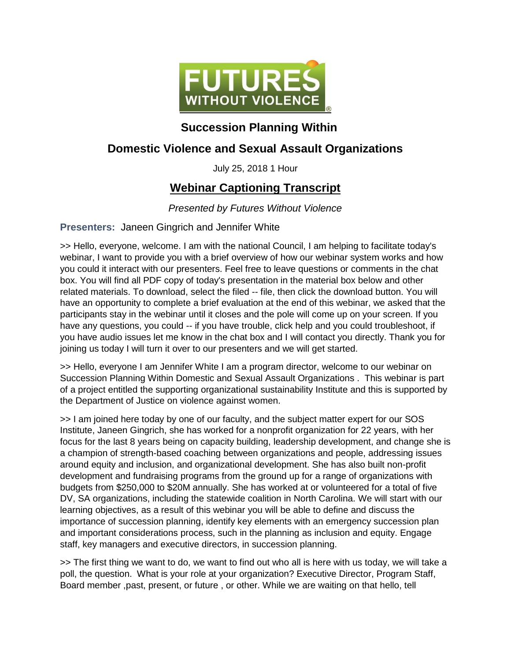

## **Succession Planning Within**

## **Domestic Violence and Sexual Assault Organizations**

July 25, 2018 1 Hour

# **Webinar Captioning Transcript**

### *Presented by Futures Without Violence*

#### **Presenters:** Janeen Gingrich and Jennifer White

>> Hello, everyone, welcome. I am with the national Council, I am helping to facilitate today's webinar, I want to provide you with a brief overview of how our webinar system works and how you could it interact with our presenters. Feel free to leave questions or comments in the chat box. You will find all PDF copy of today's presentation in the material box below and other related materials. To download, select the filed -- file, then click the download button. You will have an opportunity to complete a brief evaluation at the end of this webinar, we asked that the participants stay in the webinar until it closes and the pole will come up on your screen. If you have any questions, you could -- if you have trouble, click help and you could troubleshoot, if you have audio issues let me know in the chat box and I will contact you directly. Thank you for joining us today I will turn it over to our presenters and we will get started.

>> Hello, everyone I am Jennifer White I am a program director, welcome to our webinar on Succession Planning Within Domestic and Sexual Assault Organizations . This webinar is part of a project entitled the supporting organizational sustainability Institute and this is supported by the Department of Justice on violence against women.

>> I am joined here today by one of our faculty, and the subject matter expert for our SOS Institute, Janeen Gingrich, she has worked for a nonprofit organization for 22 years, with her focus for the last 8 years being on capacity building, leadership development, and change she is a champion of strength-based coaching between organizations and people, addressing issues around equity and inclusion, and organizational development. She has also built non-profit development and fundraising programs from the ground up for a range of organizations with budgets from \$250,000 to \$20M annually. She has worked at or volunteered for a total of five DV, SA organizations, including the statewide coalition in North Carolina. We will start with our learning objectives, as a result of this webinar you will be able to define and discuss the importance of succession planning, identify key elements with an emergency succession plan and important considerations process, such in the planning as inclusion and equity. Engage staff, key managers and executive directors, in succession planning.

>> The first thing we want to do, we want to find out who all is here with us today, we will take a poll, the question. What is your role at your organization? Executive Director, Program Staff, Board member ,past, present, or future , or other. While we are waiting on that hello, tell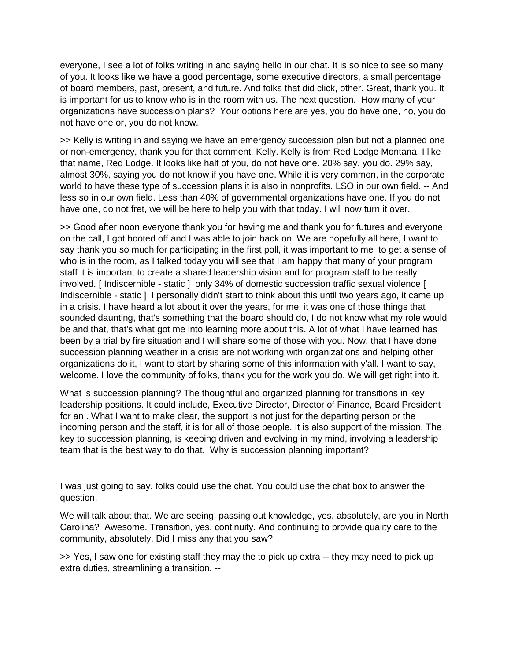everyone, I see a lot of folks writing in and saying hello in our chat. It is so nice to see so many of you. It looks like we have a good percentage, some executive directors, a small percentage of board members, past, present, and future. And folks that did click, other. Great, thank you. It is important for us to know who is in the room with us. The next question. How many of your organizations have succession plans? Your options here are yes, you do have one, no, you do not have one or, you do not know.

>> Kelly is writing in and saying we have an emergency succession plan but not a planned one or non-emergency, thank you for that comment, Kelly. Kelly is from Red Lodge Montana. I like that name, Red Lodge. It looks like half of you, do not have one. 20% say, you do. 29% say, almost 30%, saying you do not know if you have one. While it is very common, in the corporate world to have these type of succession plans it is also in nonprofits. LSO in our own field. -- And less so in our own field. Less than 40% of governmental organizations have one. If you do not have one, do not fret, we will be here to help you with that today. I will now turn it over.

>> Good after noon everyone thank you for having me and thank you for futures and everyone on the call, I got booted off and I was able to join back on. We are hopefully all here, I want to say thank you so much for participating in the first poll, it was important to me to get a sense of who is in the room, as I talked today you will see that I am happy that many of your program staff it is important to create a shared leadership vision and for program staff to be really involved. [ Indiscernible - static ] only 34% of domestic succession traffic sexual violence [ Indiscernible - static ] I personally didn't start to think about this until two years ago, it came up in a crisis. I have heard a lot about it over the years, for me, it was one of those things that sounded daunting, that's something that the board should do, I do not know what my role would be and that, that's what got me into learning more about this. A lot of what I have learned has been by a trial by fire situation and I will share some of those with you. Now, that I have done succession planning weather in a crisis are not working with organizations and helping other organizations do it, I want to start by sharing some of this information with y'all. I want to say, welcome. I love the community of folks, thank you for the work you do. We will get right into it.

What is succession planning? The thoughtful and organized planning for transitions in key leadership positions. It could include, Executive Director, Director of Finance, Board President for an . What I want to make clear, the support is not just for the departing person or the incoming person and the staff, it is for all of those people. It is also support of the mission. The key to succession planning, is keeping driven and evolving in my mind, involving a leadership team that is the best way to do that. Why is succession planning important?

I was just going to say, folks could use the chat. You could use the chat box to answer the question.

We will talk about that. We are seeing, passing out knowledge, yes, absolutely, are you in North Carolina? Awesome. Transition, yes, continuity. And continuing to provide quality care to the community, absolutely. Did I miss any that you saw?

>> Yes, I saw one for existing staff they may the to pick up extra -- they may need to pick up extra duties, streamlining a transition, --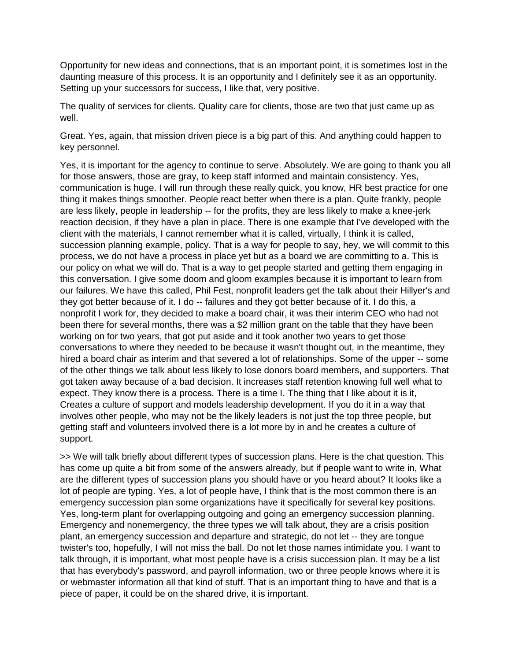Opportunity for new ideas and connections, that is an important point, it is sometimes lost in the daunting measure of this process. It is an opportunity and I definitely see it as an opportunity. Setting up your successors for success, I like that, very positive.

The quality of services for clients. Quality care for clients, those are two that just came up as well.

Great. Yes, again, that mission driven piece is a big part of this. And anything could happen to key personnel.

Yes, it is important for the agency to continue to serve. Absolutely. We are going to thank you all for those answers, those are gray, to keep staff informed and maintain consistency. Yes, communication is huge. I will run through these really quick, you know, HR best practice for one thing it makes things smoother. People react better when there is a plan. Quite frankly, people are less likely, people in leadership -- for the profits, they are less likely to make a knee-jerk reaction decision, if they have a plan in place. There is one example that I've developed with the client with the materials, I cannot remember what it is called, virtually, I think it is called, succession planning example, policy. That is a way for people to say, hey, we will commit to this process, we do not have a process in place yet but as a board we are committing to a. This is our policy on what we will do. That is a way to get people started and getting them engaging in this conversation. I give some doom and gloom examples because it is important to learn from our failures. We have this called, Phil Fest, nonprofit leaders get the talk about their Hillyer's and they got better because of it. I do -- failures and they got better because of it. I do this, a nonprofit I work for, they decided to make a board chair, it was their interim CEO who had not been there for several months, there was a \$2 million grant on the table that they have been working on for two years, that got put aside and it took another two years to get those conversations to where they needed to be because it wasn't thought out, in the meantime, they hired a board chair as interim and that severed a lot of relationships. Some of the upper -- some of the other things we talk about less likely to lose donors board members, and supporters. That got taken away because of a bad decision. It increases staff retention knowing full well what to expect. They know there is a process. There is a time I. The thing that I like about it is it, Creates a culture of support and models leadership development. If you do it in a way that involves other people, who may not be the likely leaders is not just the top three people, but getting staff and volunteers involved there is a lot more by in and he creates a culture of support.

>> We will talk briefly about different types of succession plans. Here is the chat question. This has come up quite a bit from some of the answers already, but if people want to write in, What are the different types of succession plans you should have or you heard about? It looks like a lot of people are typing. Yes, a lot of people have, I think that is the most common there is an emergency succession plan some organizations have it specifically for several key positions. Yes, long-term plant for overlapping outgoing and going an emergency succession planning. Emergency and nonemergency, the three types we will talk about, they are a crisis position plant, an emergency succession and departure and strategic, do not let -- they are tongue twister's too, hopefully, I will not miss the ball. Do not let those names intimidate you. I want to talk through, it is important, what most people have is a crisis succession plan. It may be a list that has everybody's password, and payroll information, two or three people knows where it is or webmaster information all that kind of stuff. That is an important thing to have and that is a piece of paper, it could be on the shared drive, it is important.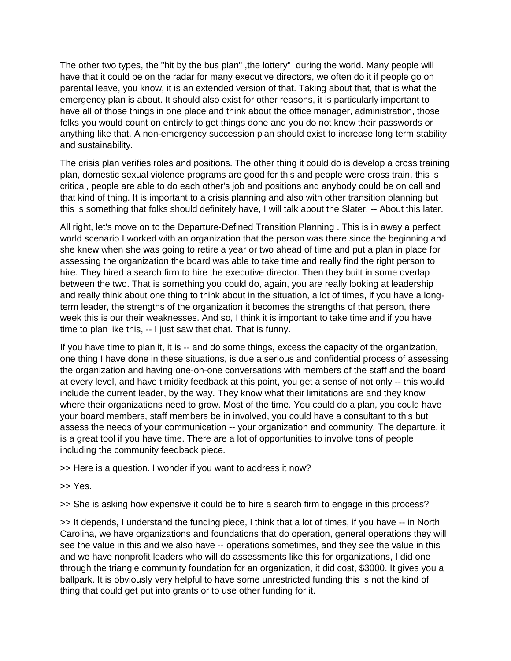The other two types, the "hit by the bus plan" ,the lottery" during the world. Many people will have that it could be on the radar for many executive directors, we often do it if people go on parental leave, you know, it is an extended version of that. Taking about that, that is what the emergency plan is about. It should also exist for other reasons, it is particularly important to have all of those things in one place and think about the office manager, administration, those folks you would count on entirely to get things done and you do not know their passwords or anything like that. A non-emergency succession plan should exist to increase long term stability and sustainability.

The crisis plan verifies roles and positions. The other thing it could do is develop a cross training plan, domestic sexual violence programs are good for this and people were cross train, this is critical, people are able to do each other's job and positions and anybody could be on call and that kind of thing. It is important to a crisis planning and also with other transition planning but this is something that folks should definitely have, I will talk about the Slater, -- About this later.

All right, let's move on to the Departure-Defined Transition Planning . This is in away a perfect world scenario I worked with an organization that the person was there since the beginning and she knew when she was going to retire a year or two ahead of time and put a plan in place for assessing the organization the board was able to take time and really find the right person to hire. They hired a search firm to hire the executive director. Then they built in some overlap between the two. That is something you could do, again, you are really looking at leadership and really think about one thing to think about in the situation, a lot of times, if you have a longterm leader, the strengths of the organization it becomes the strengths of that person, there week this is our their weaknesses. And so, I think it is important to take time and if you have time to plan like this, -- I just saw that chat. That is funny.

If you have time to plan it, it is -- and do some things, excess the capacity of the organization, one thing I have done in these situations, is due a serious and confidential process of assessing the organization and having one-on-one conversations with members of the staff and the board at every level, and have timidity feedback at this point, you get a sense of not only -- this would include the current leader, by the way. They know what their limitations are and they know where their organizations need to grow. Most of the time. You could do a plan, you could have your board members, staff members be in involved, you could have a consultant to this but assess the needs of your communication -- your organization and community. The departure, it is a great tool if you have time. There are a lot of opportunities to involve tons of people including the community feedback piece.

>> Here is a question. I wonder if you want to address it now?

>> Yes.

>> She is asking how expensive it could be to hire a search firm to engage in this process?

>> It depends, I understand the funding piece, I think that a lot of times, if you have -- in North Carolina, we have organizations and foundations that do operation, general operations they will see the value in this and we also have -- operations sometimes, and they see the value in this and we have nonprofit leaders who will do assessments like this for organizations, I did one through the triangle community foundation for an organization, it did cost, \$3000. It gives you a ballpark. It is obviously very helpful to have some unrestricted funding this is not the kind of thing that could get put into grants or to use other funding for it.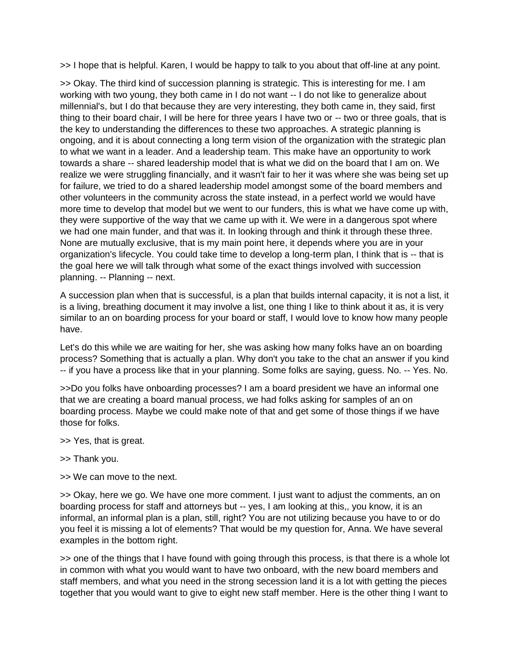>> I hope that is helpful. Karen, I would be happy to talk to you about that off-line at any point.

>> Okay. The third kind of succession planning is strategic. This is interesting for me. I am working with two young, they both came in I do not want -- I do not like to generalize about millennial's, but I do that because they are very interesting, they both came in, they said, first thing to their board chair, I will be here for three years I have two or -- two or three goals, that is the key to understanding the differences to these two approaches. A strategic planning is ongoing, and it is about connecting a long term vision of the organization with the strategic plan to what we want in a leader. And a leadership team. This make have an opportunity to work towards a share -- shared leadership model that is what we did on the board that I am on. We realize we were struggling financially, and it wasn't fair to her it was where she was being set up for failure, we tried to do a shared leadership model amongst some of the board members and other volunteers in the community across the state instead, in a perfect world we would have more time to develop that model but we went to our funders, this is what we have come up with, they were supportive of the way that we came up with it. We were in a dangerous spot where we had one main funder, and that was it. In looking through and think it through these three. None are mutually exclusive, that is my main point here, it depends where you are in your organization's lifecycle. You could take time to develop a long-term plan, I think that is -- that is the goal here we will talk through what some of the exact things involved with succession planning. -- Planning -- next.

A succession plan when that is successful, is a plan that builds internal capacity, it is not a list, it is a living, breathing document it may involve a list, one thing I like to think about it as, it is very similar to an on boarding process for your board or staff, I would love to know how many people have.

Let's do this while we are waiting for her, she was asking how many folks have an on boarding process? Something that is actually a plan. Why don't you take to the chat an answer if you kind -- if you have a process like that in your planning. Some folks are saying, guess. No. -- Yes. No.

>>Do you folks have onboarding processes? I am a board president we have an informal one that we are creating a board manual process, we had folks asking for samples of an on boarding process. Maybe we could make note of that and get some of those things if we have those for folks.

>> Yes, that is great.

- >> Thank you.
- >> We can move to the next.

>> Okay, here we go. We have one more comment. I just want to adjust the comments, an on boarding process for staff and attorneys but -- yes, I am looking at this,, you know, it is an informal, an informal plan is a plan, still, right? You are not utilizing because you have to or do you feel it is missing a lot of elements? That would be my question for, Anna. We have several examples in the bottom right.

>> one of the things that I have found with going through this process, is that there is a whole lot in common with what you would want to have two onboard, with the new board members and staff members, and what you need in the strong secession land it is a lot with getting the pieces together that you would want to give to eight new staff member. Here is the other thing I want to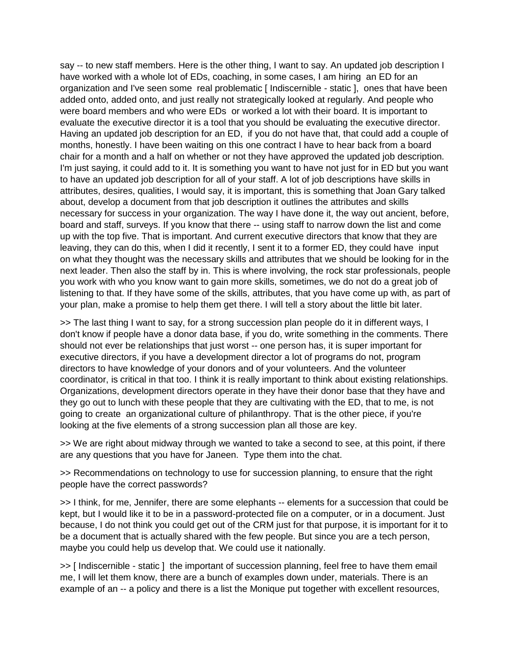say -- to new staff members. Here is the other thing, I want to say. An updated job description I have worked with a whole lot of EDs, coaching, in some cases, I am hiring an ED for an organization and I've seen some real problematic [Indiscernible - static ], ones that have been added onto, added onto, and just really not strategically looked at regularly. And people who were board members and who were EDs or worked a lot with their board. It is important to evaluate the executive director it is a tool that you should be evaluating the executive director. Having an updated job description for an ED, if you do not have that, that could add a couple of months, honestly. I have been waiting on this one contract I have to hear back from a board chair for a month and a half on whether or not they have approved the updated job description. I'm just saying, it could add to it. It is something you want to have not just for in ED but you want to have an updated job description for all of your staff. A lot of job descriptions have skills in attributes, desires, qualities, I would say, it is important, this is something that Joan Gary talked about, develop a document from that job description it outlines the attributes and skills necessary for success in your organization. The way I have done it, the way out ancient, before, board and staff, surveys. If you know that there -- using staff to narrow down the list and come up with the top five. That is important. And current executive directors that know that they are leaving, they can do this, when I did it recently, I sent it to a former ED, they could have input on what they thought was the necessary skills and attributes that we should be looking for in the next leader. Then also the staff by in. This is where involving, the rock star professionals, people you work with who you know want to gain more skills, sometimes, we do not do a great job of listening to that. If they have some of the skills, attributes, that you have come up with, as part of your plan, make a promise to help them get there. I will tell a story about the little bit later.

>> The last thing I want to say, for a strong succession plan people do it in different ways, I don't know if people have a donor data base, if you do, write something in the comments. There should not ever be relationships that just worst -- one person has, it is super important for executive directors, if you have a development director a lot of programs do not, program directors to have knowledge of your donors and of your volunteers. And the volunteer coordinator, is critical in that too. I think it is really important to think about existing relationships. Organizations, development directors operate in they have their donor base that they have and they go out to lunch with these people that they are cultivating with the ED, that to me, is not going to create an organizational culture of philanthropy. That is the other piece, if you're looking at the five elements of a strong succession plan all those are key.

>> We are right about midway through we wanted to take a second to see, at this point, if there are any questions that you have for Janeen. Type them into the chat.

>> Recommendations on technology to use for succession planning, to ensure that the right people have the correct passwords?

>> I think, for me, Jennifer, there are some elephants -- elements for a succession that could be kept, but I would like it to be in a password-protected file on a computer, or in a document. Just because, I do not think you could get out of the CRM just for that purpose, it is important for it to be a document that is actually shared with the few people. But since you are a tech person, maybe you could help us develop that. We could use it nationally.

>> [ Indiscernible - static ] the important of succession planning, feel free to have them email me, I will let them know, there are a bunch of examples down under, materials. There is an example of an -- a policy and there is a list the Monique put together with excellent resources,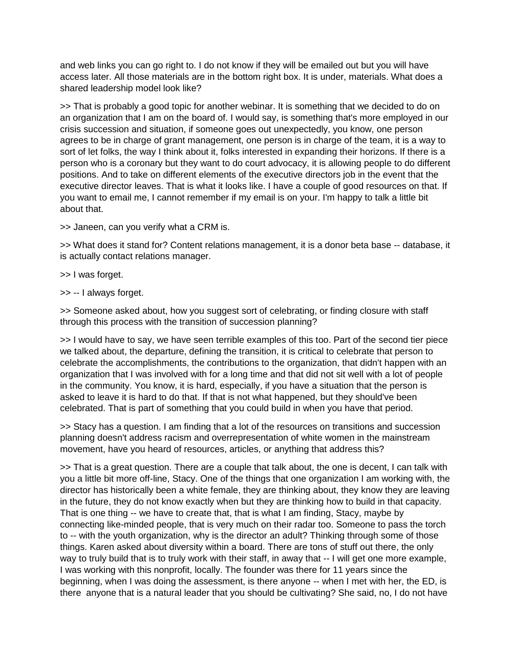and web links you can go right to. I do not know if they will be emailed out but you will have access later. All those materials are in the bottom right box. It is under, materials. What does a shared leadership model look like?

>> That is probably a good topic for another webinar. It is something that we decided to do on an organization that I am on the board of. I would say, is something that's more employed in our crisis succession and situation, if someone goes out unexpectedly, you know, one person agrees to be in charge of grant management, one person is in charge of the team, it is a way to sort of let folks, the way I think about it, folks interested in expanding their horizons. If there is a person who is a coronary but they want to do court advocacy, it is allowing people to do different positions. And to take on different elements of the executive directors job in the event that the executive director leaves. That is what it looks like. I have a couple of good resources on that. If you want to email me, I cannot remember if my email is on your. I'm happy to talk a little bit about that.

>> Janeen, can you verify what a CRM is.

>> What does it stand for? Content relations management, it is a donor beta base -- database, it is actually contact relations manager.

>> I was forget.

>> -- I always forget.

>> Someone asked about, how you suggest sort of celebrating, or finding closure with staff through this process with the transition of succession planning?

>> I would have to say, we have seen terrible examples of this too. Part of the second tier piece we talked about, the departure, defining the transition, it is critical to celebrate that person to celebrate the accomplishments, the contributions to the organization, that didn't happen with an organization that I was involved with for a long time and that did not sit well with a lot of people in the community. You know, it is hard, especially, if you have a situation that the person is asked to leave it is hard to do that. If that is not what happened, but they should've been celebrated. That is part of something that you could build in when you have that period.

>> Stacy has a question. I am finding that a lot of the resources on transitions and succession planning doesn't address racism and overrepresentation of white women in the mainstream movement, have you heard of resources, articles, or anything that address this?

>> That is a great question. There are a couple that talk about, the one is decent, I can talk with you a little bit more off-line, Stacy. One of the things that one organization I am working with, the director has historically been a white female, they are thinking about, they know they are leaving in the future, they do not know exactly when but they are thinking how to build in that capacity. That is one thing -- we have to create that, that is what I am finding, Stacy, maybe by connecting like-minded people, that is very much on their radar too. Someone to pass the torch to -- with the youth organization, why is the director an adult? Thinking through some of those things. Karen asked about diversity within a board. There are tons of stuff out there, the only way to truly build that is to truly work with their staff, in away that -- I will get one more example, I was working with this nonprofit, locally. The founder was there for 11 years since the beginning, when I was doing the assessment, is there anyone -- when I met with her, the ED, is there anyone that is a natural leader that you should be cultivating? She said, no, I do not have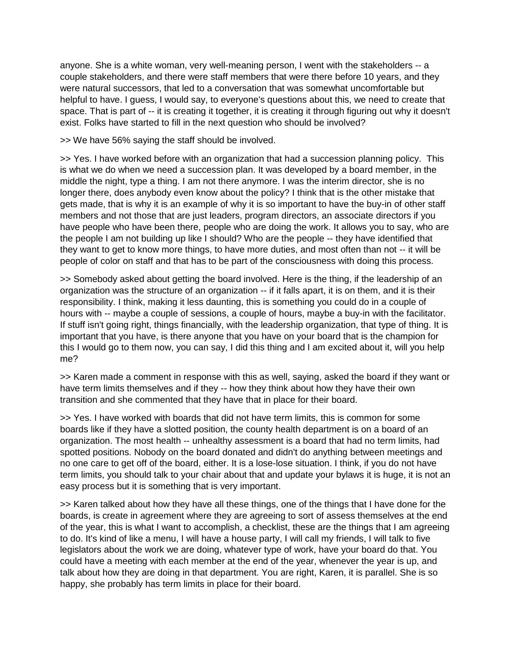anyone. She is a white woman, very well-meaning person, I went with the stakeholders -- a couple stakeholders, and there were staff members that were there before 10 years, and they were natural successors, that led to a conversation that was somewhat uncomfortable but helpful to have. I guess, I would say, to everyone's questions about this, we need to create that space. That is part of -- it is creating it together, it is creating it through figuring out why it doesn't exist. Folks have started to fill in the next question who should be involved?

>> We have 56% saying the staff should be involved.

>> Yes. I have worked before with an organization that had a succession planning policy. This is what we do when we need a succession plan. It was developed by a board member, in the middle the night, type a thing. I am not there anymore. I was the interim director, she is no longer there, does anybody even know about the policy? I think that is the other mistake that gets made, that is why it is an example of why it is so important to have the buy-in of other staff members and not those that are just leaders, program directors, an associate directors if you have people who have been there, people who are doing the work. It allows you to say, who are the people I am not building up like I should? Who are the people -- they have identified that they want to get to know more things, to have more duties, and most often than not -- it will be people of color on staff and that has to be part of the consciousness with doing this process.

>> Somebody asked about getting the board involved. Here is the thing, if the leadership of an organization was the structure of an organization -- if it falls apart, it is on them, and it is their responsibility. I think, making it less daunting, this is something you could do in a couple of hours with -- maybe a couple of sessions, a couple of hours, maybe a buy-in with the facilitator. If stuff isn't going right, things financially, with the leadership organization, that type of thing. It is important that you have, is there anyone that you have on your board that is the champion for this I would go to them now, you can say, I did this thing and I am excited about it, will you help me?

>> Karen made a comment in response with this as well, saying, asked the board if they want or have term limits themselves and if they -- how they think about how they have their own transition and she commented that they have that in place for their board.

>> Yes. I have worked with boards that did not have term limits, this is common for some boards like if they have a slotted position, the county health department is on a board of an organization. The most health -- unhealthy assessment is a board that had no term limits, had spotted positions. Nobody on the board donated and didn't do anything between meetings and no one care to get off of the board, either. It is a lose-lose situation. I think, if you do not have term limits, you should talk to your chair about that and update your bylaws it is huge, it is not an easy process but it is something that is very important.

>> Karen talked about how they have all these things, one of the things that I have done for the boards, is create in agreement where they are agreeing to sort of assess themselves at the end of the year, this is what I want to accomplish, a checklist, these are the things that I am agreeing to do. It's kind of like a menu, I will have a house party, I will call my friends, I will talk to five legislators about the work we are doing, whatever type of work, have your board do that. You could have a meeting with each member at the end of the year, whenever the year is up, and talk about how they are doing in that department. You are right, Karen, it is parallel. She is so happy, she probably has term limits in place for their board.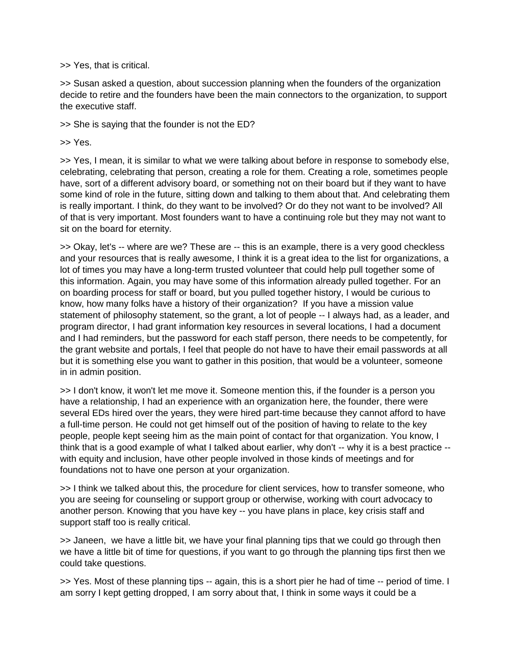>> Yes, that is critical.

>> Susan asked a question, about succession planning when the founders of the organization decide to retire and the founders have been the main connectors to the organization, to support the executive staff.

>> She is saying that the founder is not the ED?

>> Yes.

>> Yes, I mean, it is similar to what we were talking about before in response to somebody else, celebrating, celebrating that person, creating a role for them. Creating a role, sometimes people have, sort of a different advisory board, or something not on their board but if they want to have some kind of role in the future, sitting down and talking to them about that. And celebrating them is really important. I think, do they want to be involved? Or do they not want to be involved? All of that is very important. Most founders want to have a continuing role but they may not want to sit on the board for eternity.

>> Okay, let's -- where are we? These are -- this is an example, there is a very good checkless and your resources that is really awesome, I think it is a great idea to the list for organizations, a lot of times you may have a long-term trusted volunteer that could help pull together some of this information. Again, you may have some of this information already pulled together. For an on boarding process for staff or board, but you pulled together history, I would be curious to know, how many folks have a history of their organization? If you have a mission value statement of philosophy statement, so the grant, a lot of people -- I always had, as a leader, and program director, I had grant information key resources in several locations, I had a document and I had reminders, but the password for each staff person, there needs to be competently, for the grant website and portals, I feel that people do not have to have their email passwords at all but it is something else you want to gather in this position, that would be a volunteer, someone in in admin position.

>> I don't know, it won't let me move it. Someone mention this, if the founder is a person you have a relationship, I had an experience with an organization here, the founder, there were several EDs hired over the years, they were hired part-time because they cannot afford to have a full-time person. He could not get himself out of the position of having to relate to the key people, people kept seeing him as the main point of contact for that organization. You know, I think that is a good example of what I talked about earlier, why don't -- why it is a best practice - with equity and inclusion, have other people involved in those kinds of meetings and for foundations not to have one person at your organization.

>> I think we talked about this, the procedure for client services, how to transfer someone, who you are seeing for counseling or support group or otherwise, working with court advocacy to another person. Knowing that you have key -- you have plans in place, key crisis staff and support staff too is really critical.

>> Janeen, we have a little bit, we have your final planning tips that we could go through then we have a little bit of time for questions, if you want to go through the planning tips first then we could take questions.

>> Yes. Most of these planning tips -- again, this is a short pier he had of time -- period of time. I am sorry I kept getting dropped, I am sorry about that, I think in some ways it could be a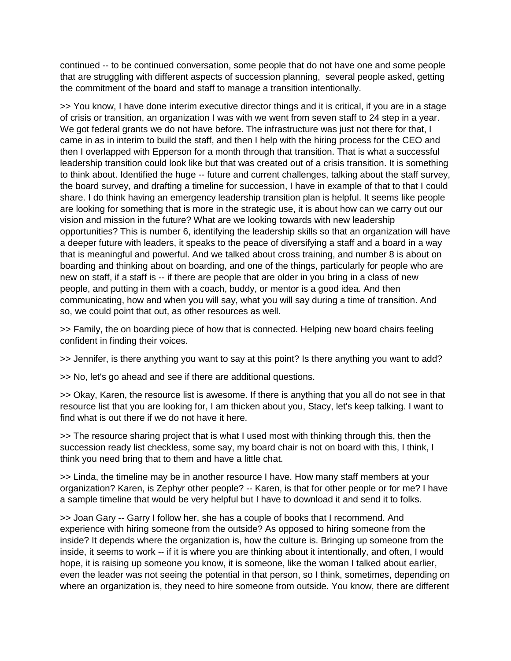continued -- to be continued conversation, some people that do not have one and some people that are struggling with different aspects of succession planning, several people asked, getting the commitment of the board and staff to manage a transition intentionally.

>> You know, I have done interim executive director things and it is critical, if you are in a stage of crisis or transition, an organization I was with we went from seven staff to 24 step in a year. We got federal grants we do not have before. The infrastructure was just not there for that, I came in as in interim to build the staff, and then I help with the hiring process for the CEO and then I overlapped with Epperson for a month through that transition. That is what a successful leadership transition could look like but that was created out of a crisis transition. It is something to think about. Identified the huge -- future and current challenges, talking about the staff survey, the board survey, and drafting a timeline for succession, I have in example of that to that I could share. I do think having an emergency leadership transition plan is helpful. It seems like people are looking for something that is more in the strategic use, it is about how can we carry out our vision and mission in the future? What are we looking towards with new leadership opportunities? This is number 6, identifying the leadership skills so that an organization will have a deeper future with leaders, it speaks to the peace of diversifying a staff and a board in a way that is meaningful and powerful. And we talked about cross training, and number 8 is about on boarding and thinking about on boarding, and one of the things, particularly for people who are new on staff, if a staff is -- if there are people that are older in you bring in a class of new people, and putting in them with a coach, buddy, or mentor is a good idea. And then communicating, how and when you will say, what you will say during a time of transition. And so, we could point that out, as other resources as well.

>> Family, the on boarding piece of how that is connected. Helping new board chairs feeling confident in finding their voices.

>> Jennifer, is there anything you want to say at this point? Is there anything you want to add?

>> No, let's go ahead and see if there are additional questions.

>> Okay, Karen, the resource list is awesome. If there is anything that you all do not see in that resource list that you are looking for, I am thicken about you, Stacy, let's keep talking. I want to find what is out there if we do not have it here.

>> The resource sharing project that is what I used most with thinking through this, then the succession ready list checkless, some say, my board chair is not on board with this, I think, I think you need bring that to them and have a little chat.

>> Linda, the timeline may be in another resource I have. How many staff members at your organization? Karen, is Zephyr other people? -- Karen, is that for other people or for me? I have a sample timeline that would be very helpful but I have to download it and send it to folks.

>> Joan Gary -- Garry I follow her, she has a couple of books that I recommend. And experience with hiring someone from the outside? As opposed to hiring someone from the inside? It depends where the organization is, how the culture is. Bringing up someone from the inside, it seems to work -- if it is where you are thinking about it intentionally, and often, I would hope, it is raising up someone you know, it is someone, like the woman I talked about earlier, even the leader was not seeing the potential in that person, so I think, sometimes, depending on where an organization is, they need to hire someone from outside. You know, there are different